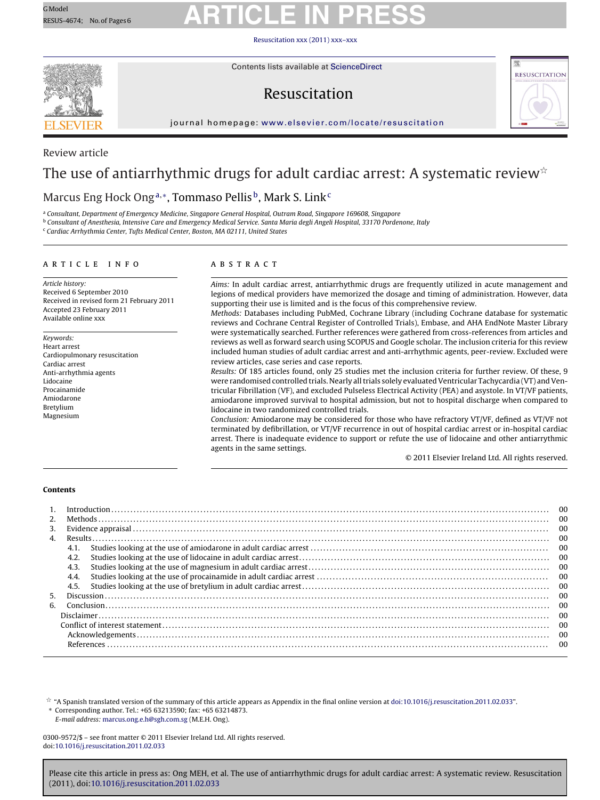### Resuscitation [xxx \(2011\) xxx–xxx](dx.doi.org/10.1016/j.resuscitation.2011.02.033)



Contents lists available at [ScienceDirect](http://www.sciencedirect.com/science/journal/03009572)

## Resuscitation



journal homepage: [www.elsevier.com/locate/resuscitation](http://www.elsevier.com/locate/resuscitation)

### Review article

## The use of antiarrhythmic drugs for adult cardiac arrest: A systematic review ${}^{\star}$

## Marcus Eng Hock Ong<sup>a,∗</sup>, Tommaso Pellis<sup>b</sup>, Mark S. Link<sup>c</sup>

<sup>a</sup> Consultant, Department of Emergency Medicine, Singapore General Hospital, Outram Road, Singapore 169608, Singapore

<sup>b</sup> Consultant of Anesthesia, Intensive Care and Emergency Medical Service. Santa Maria degli Angeli Hospital, 33170 Pordenone, Italy

<sup>c</sup> Cardiac Arrhythmia Center, Tufts Medical Center, Boston, MA 02111, United States

### article info

Article history: Received 6 September 2010 Received in revised form 21 February 2011 Accepted 23 February 2011 Available online xxx

Keywords: Heart arrest Cardiopulmonary resuscitation Cardiac arrest Anti-arrhythmia agents Lidocaine Procainamide Amiodarone Bretylium Magnesium

### abstract

Aims: In adult cardiac arrest, antiarrhythmic drugs are frequently utilized in acute management and legions of medical providers have memorized the dosage and timing of administration. However, data supporting their use is limited and is the focus of this comprehensive review.

Methods: Databases including PubMed, Cochrane Library (including Cochrane database for systematic reviews and Cochrane Central Register of Controlled Trials), Embase, and AHA EndNote Master Library were systematically searched. Further references were gathered from cross-references from articles and reviews as well as forward search using SCOPUS and Google scholar. The inclusion criteria for this review included human studies of adult cardiac arrest and anti-arrhythmic agents, peer-review. Excluded were review articles, case series and case reports.

Results: Of 185 articles found, only 25 studies met the inclusion criteria for further review. Of these, 9 were randomised controlled trials. Nearly all trials solely evaluated Ventricular Tachycardia (VT) and Ventricular Fibrillation (VF), and excluded Pulseless Electrical Activity (PEA) and asystole. In VT/VF patients, amiodarone improved survival to hospital admission, but not to hospital discharge when compared to lidocaine in two randomized controlled trials.

Conclusion: Amiodarone may be considered for those who have refractory VT/VF, defined as VT/VF not terminated by defibrillation, or VT/VF recurrence in out of hospital cardiac arrest or in-hospital cardiac arrest. There is inadequate evidence to support or refute the use of lidocaine and other antiarrythmic agents in the same settings.

© 2011 Elsevier Ireland Ltd. All rights reserved.

### **Contents**

|              | 00<br>-00 |         |  |  |  |  |
|--------------|-----------|---------|--|--|--|--|
| 2.           |           |         |  |  |  |  |
| 3.           |           |         |  |  |  |  |
| $\mathbf{4}$ |           |         |  |  |  |  |
|              | 4.1.      | - 00    |  |  |  |  |
|              | 4.2.      |         |  |  |  |  |
|              | 4.3.      | - 00    |  |  |  |  |
|              | 4.4.      | $_{00}$ |  |  |  |  |
|              | 4.5.      |         |  |  |  |  |
| .5.          | -00       |         |  |  |  |  |
| 6.           |           |         |  |  |  |  |
|              |           |         |  |  |  |  |
|              |           |         |  |  |  |  |
|              |           |         |  |  |  |  |
|              |           |         |  |  |  |  |

 $^\star$  "A Spanish translated version of the summary of this article appears as Appendix in the final online version at [doi:10.1016/j.resuscitation.2011.02.033](http://dx.doi.org/10.1016/j.resuscitation.2011.02.033)". ∗ Corresponding author. Tel.: +65 63213590; fax: +65 63214873.

E-mail address: [marcus.ong.e.h@sgh.com.sg](mailto:marcus.ong.e.h@sgh.com.sg) (M.E.H. Ong).

0300-9572/\$ – see front matter © 2011 Elsevier Ireland Ltd. All rights reserved. doi:[10.1016/j.resuscitation.2011.02.033](dx.doi.org/10.1016/j.resuscitation.2011.02.033)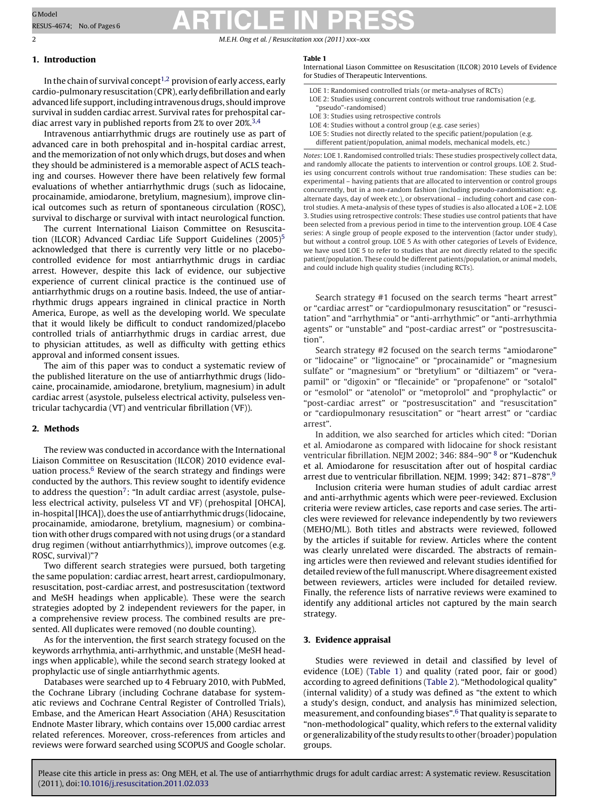2 M.E.H. Ong et al. / Resuscitation *xxx (2011) xxx–xxx*

### **1. Introduction**

In the chain of survival concept<sup>[1,2](#page-4-0)</sup> provision of early access, early cardio-pulmonary resuscitation (CPR), early defibrillation and early advanced life support, including intravenous drugs, should improve survival in sudden cardiac arrest. Survival rates for prehospital cardiac arrest vary in published reports from 2% to over 20%[.3,4](#page-4-0)

Intravenous antiarrhythmic drugs are routinely use as part of advanced care in both prehospital and in-hospital cardiac arrest, and the memorization of not only which drugs, but doses and when they should be administered is a memorable aspect of ACLS teaching and courses. However there have been relatively few formal evaluations of whether antiarrhythmic drugs (such as lidocaine, procainamide, amiodarone, bretylium, magnesium), improve clinical outcomes such as return of spontaneous circulation (ROSC), survival to discharge or survival with intact neurological function.

The current International Liaison Committee on Resuscitation (ILCOR) Advanced Cardiac Life Support Guidelines  $(2005)^5$ acknowledged that there is currently very little or no placebocontrolled evidence for most antiarrhythmic drugs in cardiac arrest. However, despite this lack of evidence, our subjective experience of current clinical practice is the continued use of antiarrhythmic drugs on a routine basis. Indeed, the use of antiarrhythmic drugs appears ingrained in clinical practice in North America, Europe, as well as the developing world. We speculate that it would likely be difficult to conduct randomized/placebo controlled trials of antiarrhythmic drugs in cardiac arrest, due to physician attitudes, as well as difficulty with getting ethics approval and informed consent issues.

The aim of this paper was to conduct a systematic review of the published literature on the use of antiarrhythmic drugs (lidocaine, procainamide, amiodarone, bretylium, magnesium) in adult cardiac arrest (asystole, pulseless electrical activity, pulseless ventricular tachycardia (VT) and ventricular fibrillation (VF)).

### **2. Methods**

The review was conducted in accordance with the International Liaison Committee on Resuscitation (ILCOR) 2010 evidence eval-uation process.<sup>[6](#page-4-0)</sup> Review of the search strategy and findings were conducted by the authors. This review sought to identify evidence to address the question<sup>7</sup>: "In adult cardiac arrest (asystole, pulseless electrical activity, pulseless VT and VF) (prehospital [OHCA], in-hospital [IHCA]), does the use of antiarrhythmic drugs (lidocaine, procainamide, amiodarone, bretylium, magnesium) or combination with other drugs compared with not using drugs (or a standard drug regimen (without antiarrhythmics)), improve outcomes (e.g. ROSC, survival)"?

Two different search strategies were pursued, both targeting the same population: cardiac arrest, heart arrest, cardiopulmonary, resuscitation, post-cardiac arrest, and postresuscitation (textword and MeSH headings when applicable). These were the search strategies adopted by 2 independent reviewers for the paper, in a comprehensive review process. The combined results are presented. All duplicates were removed (no double counting).

As for the intervention, the first search strategy focused on the keywords arrhythmia, anti-arrhythmic, and unstable (MeSH headings when applicable), while the second search strategy looked at prophylactic use of single antiarrhythmic agents.

Databases were searched up to 4 February 2010, with PubMed, the Cochrane Library (including Cochrane database for systematic reviews and Cochrane Central Register of Controlled Trials), Embase, and the American Heart Association (AHA) Resuscitation Endnote Master library, which contains over 15,000 cardiac arrest related references. Moreover, cross-references from articles and reviews were forward searched using SCOPUS and Google scholar.

### **Table 1**

International Liason Committee on Resuscitation (ILCOR) 2010 Levels of Evidence for Studies of Therapeutic Interventions.

- LOE 1: Randomised controlled trials (or meta-analyses of RCTs)
- LOE 2: Studies using concurrent controls without true randomisation (e.g. "pseudo"-randomised)
- LOE 3: Studies using retrospective controls
- LOE 4: Studies without a control group (e.g. case series)
- LOE 5: Studies not directly related to the specific patient/population (e.g. different patient/population, animal models, mechanical models, etc.)

Notes: LOE 1. Randomised controlled trials: These studies prospectively collect data, and randomly allocate the patients to intervention or control groups. LOE 2. Studies using concurrent controls without true randomisation: These studies can be: experimental – having patients that are allocated to intervention or control groups concurrently, but in a non-random fashion (including pseudo-randomisation: e.g. alternate days, day of week etc.), or observational – including cohort and case control studies. A meta-analysis of these types of studies is also allocated a LOE = 2. LOE 3. Studies using retrospective controls: These studies use control patients that have been selected from a previous period in time to the intervention group. LOE 4 Case series: A single group of people exposed to the intervention (factor under study), but without a control group. LOE 5 As with other categories of Levels of Evidence, we have used LOE 5 to refer to studies that are not directly related to the specific patient/population. These could be different patients/population, or animal models, and could include high quality studies (including RCTs).

Search strategy #1 focused on the search terms "heart arrest" or "cardiac arrest" or "cardiopulmonary resuscitation" or "resuscitation" and "arrhythmia" or "anti-arrhythmic" or "anti-arrhythmia agents" or "unstable" and "post-cardiac arrest" or "postresuscitation".

Search strategy #2 focused on the search terms "amiodarone" or "lidocaine" or "lignocaine" or "procainamide" or "magnesium sulfate" or "magnesium" or "bretylium" or "diltiazem" or "verapamil" or "digoxin" or "flecainide" or "propafenone" or "sotalol" or "esmolol" or "atenolol" or "metoprolol" and "prophylactic" or "post-cardiac arrest" or "postresuscitation" and "resuscitation" or "cardiopulmonary resuscitation" or "heart arrest" or "cardiac arrest".

In addition, we also searched for articles which cited: "Dorian et al. Amiodarone as compared with lidocaine for shock resistant ventricular fibrillation. NEJM 2002; 346: 884–90" [8](#page-4-0) or "Kudenchuk et al. Amiodarone for resuscitation after out of hospital cardiac arrest due to ventricular fibrillation. NEJM. 1999; 342: 871–878"[.9](#page-4-0)

Inclusion criteria were human studies of adult cardiac arrest and anti-arrhythmic agents which were peer-reviewed. Exclusion criteria were review articles, case reports and case series. The articles were reviewed for relevance independently by two reviewers (MEHO/ML). Both titles and abstracts were reviewed, followed by the articles if suitable for review. Articles where the content was clearly unrelated were discarded. The abstracts of remaining articles were then reviewed and relevant studies identified for detailed review of the full manuscript.Where disagreement existed between reviewers, articles were included for detailed review. Finally, the reference lists of narrative reviews were examined to identify any additional articles not captured by the main search strategy.

### **3. Evidence appraisal**

Studies were reviewed in detail and classified by level of evidence (LOE) (Table 1) and quality (rated poor, fair or good) according to agreed definitions ([Table 2\).](#page-2-0) "Methodological quality" (internal validity) of a study was defined as "the extent to which a study's design, conduct, and analysis has minimized selection, measurement, and confounding biases".6 [T](#page-4-0)hat quality is separate to "non-methodological" quality, which refers to the external validity or generalizability of the study results to other (broader) population groups.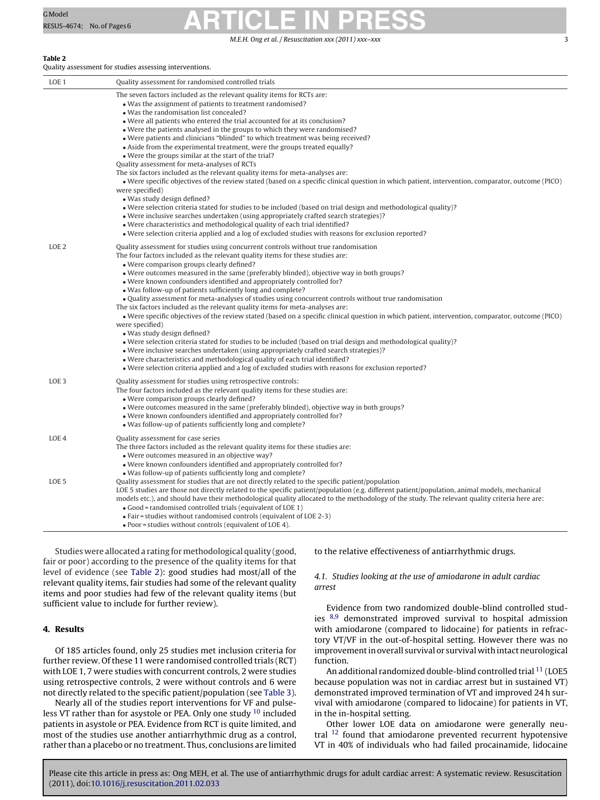M.E.H. Ong et al. / Resuscitation *xxx (2011) xxx–xxx* 3

### <span id="page-2-0"></span>**Table 2**

Quality assessment for studies assessing interventions.

| LOE <sub>1</sub> | Quality assessment for randomised controlled trials                                                                                                                                                                                                                                                                                                                                                                                                                                                                                                                                                                                                                                                                                                                                                                                                                                                                                                                                                                                                                                                                                                                                                                                                                                                          |
|------------------|--------------------------------------------------------------------------------------------------------------------------------------------------------------------------------------------------------------------------------------------------------------------------------------------------------------------------------------------------------------------------------------------------------------------------------------------------------------------------------------------------------------------------------------------------------------------------------------------------------------------------------------------------------------------------------------------------------------------------------------------------------------------------------------------------------------------------------------------------------------------------------------------------------------------------------------------------------------------------------------------------------------------------------------------------------------------------------------------------------------------------------------------------------------------------------------------------------------------------------------------------------------------------------------------------------------|
|                  | The seven factors included as the relevant quality items for RCTs are:<br>• Was the assignment of patients to treatment randomised?<br>. Was the randomisation list concealed?<br>• Were all patients who entered the trial accounted for at its conclusion?<br>• Were the patients analysed in the groups to which they were randomised?<br>• Were patients and clinicians "blinded" to which treatment was being received?<br>• Aside from the experimental treatment, were the groups treated equally?<br>• Were the groups similar at the start of the trial?<br>Quality assessment for meta-analyses of RCTs<br>The six factors included as the relevant quality items for meta-analyses are:<br>· Were specific objectives of the review stated (based on a specific clinical question in which patient, intervention, comparator, outcome (PICO)<br>were specified)<br>• Was study design defined?<br>• Were selection criteria stated for studies to be included (based on trial design and methodological quality)?<br>• Were inclusive searches undertaken (using appropriately crafted search strategies)?<br>• Were characteristics and methodological quality of each trial identified?<br>• Were selection criteria applied and a log of excluded studies with reasons for exclusion reported? |
| LOE <sub>2</sub> | Quality assessment for studies using concurrent controls without true randomisation<br>The four factors included as the relevant quality items for these studies are:<br>· Were comparison groups clearly defined?<br>• Were outcomes measured in the same (preferably blinded), objective way in both groups?<br>• Were known confounders identified and appropriately controlled for?<br>• Was follow-up of patients sufficiently long and complete?<br>. Quality assessment for meta-analyses of studies using concurrent controls without true randomisation<br>The six factors included as the relevant quality items for meta-analyses are:<br>• Were specific objectives of the review stated (based on a specific clinical question in which patient, intervention, comparator, outcome (PICO)<br>were specified)<br>· Was study design defined?<br>• Were selection criteria stated for studies to be included (based on trial design and methodological quality)?<br>• Were inclusive searches undertaken (using appropriately crafted search strategies)?<br>• Were characteristics and methodological quality of each trial identified?<br>• Were selection criteria applied and a log of excluded studies with reasons for exclusion reported?                                                  |
| LOE <sub>3</sub> | Quality assessment for studies using retrospective controls:<br>The four factors included as the relevant quality items for these studies are:<br>• Were comparison groups clearly defined?<br>• Were outcomes measured in the same (preferably blinded), objective way in both groups?<br>. Were known confounders identified and appropriately controlled for?<br>• Was follow-up of patients sufficiently long and complete?                                                                                                                                                                                                                                                                                                                                                                                                                                                                                                                                                                                                                                                                                                                                                                                                                                                                              |
| LOE <sub>4</sub> | Quality assessment for case series<br>The three factors included as the relevant quality items for these studies are:<br>• Were outcomes measured in an objective way?<br>. Were known confounders identified and appropriately controlled for?                                                                                                                                                                                                                                                                                                                                                                                                                                                                                                                                                                                                                                                                                                                                                                                                                                                                                                                                                                                                                                                              |
| LOE <sub>5</sub> | . Was follow-up of patients sufficiently long and complete?<br>Quality assessment for studies that are not directly related to the specific patient/population<br>LOE 5 studies are those not directly related to the specific patient/population (e.g. different patient/population, animal models, mechanical<br>models etc.), and should have their methodological quality allocated to the methodology of the study. The relevant quality criteria here are:<br>• Good = randomised controlled trials (equivalent of LOE 1)<br>• Fair = studies without randomised controls (equivalent of LOE 2-3)<br>. Poor = studies without controls (equivalent of LOE 4).                                                                                                                                                                                                                                                                                                                                                                                                                                                                                                                                                                                                                                          |

Studies were allocated a rating for methodological quality (good, fair or poor) according to the presence of the quality items for that level of evidence (see Table 2): good studies had most/all of the relevant quality items, fair studies had some of the relevant quality items and poor studies had few of the relevant quality items (but sufficient value to include for further review).

### **4. Results**

Of 185 articles found, only 25 studies met inclusion criteria for further review. Of these 11 were randomised controlled trials (RCT) with LOE 1, 7 were studies with concurrent controls, 2 were studies using retrospective controls, 2 were without controls and 6 were not directly related to the specific patient/population (see [Table 3\).](#page-3-0)

Nearly all of the studies report interventions for VF and pulseless VT rather than for asystole or PEA. Only one study [10](#page-4-0) included patients in asystole or PEA. Evidence from RCT is quite limited, and most of the studies use another antiarrhythmic drug as a control, rather than a placebo or no treatment. Thus, conclusions are limited to the relative effectiveness of antiarrhythmic drugs.

### 4.1. Studies looking at the use of amiodarone in adult cardiac arrest

Evidence from two randomized double-blind controlled studies [8,9](#page-4-0) demonstrated improved survival to hospital admission with amiodarone (compared to lidocaine) for patients in refractory VT/VF in the out-of-hospital setting. However there was no improvement in overall survival or survival with intact neurological function.

An additional randomized double-blind controlled trial <sup>[11](#page-4-0)</sup> (LOE5 because population was not in cardiac arrest but in sustained VT) demonstrated improved termination of VT and improved 24 h survival with amiodarone (compared to lidocaine) for patients in VT, in the in-hospital setting.

Other lower LOE data on amiodarone were generally neutral  $12$  found that amiodarone prevented recurrent hypotensive VT in 40% of individuals who had failed procainamide, lidocaine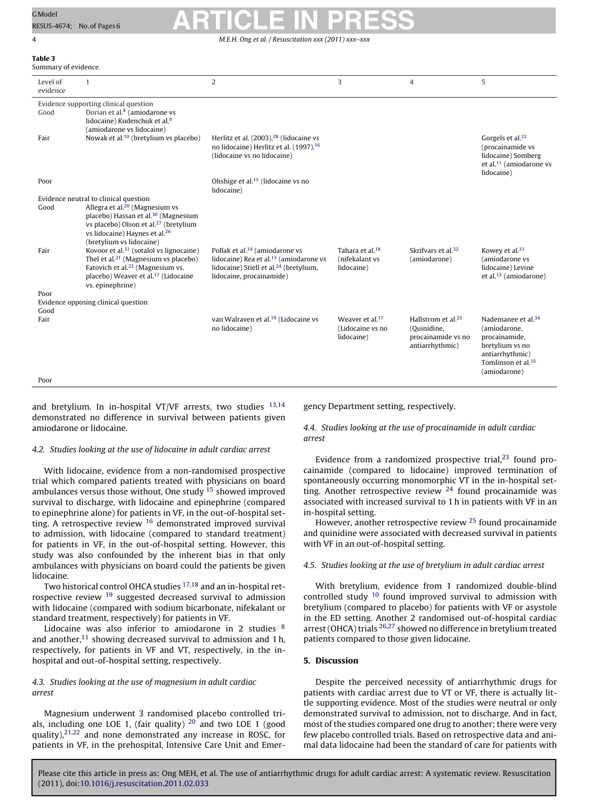## **Table 3**

<span id="page-3-0"></span>

| G Model                    | <b>ARTICLE IN PRESS</b> |
|----------------------------|-------------------------|
| RESUS-4674; No. of Pages 6 |                         |
|                            |                         |

4 M.E.H. Ong et al. / Resuscitation *xxx (2011) xxx–xxx*

| Summary of evidence. |                                                                                                                                                                                                                                |                                                                                                                                                                           |                                                               |                                                                                        |                                                                                                                                                         |  |  |
|----------------------|--------------------------------------------------------------------------------------------------------------------------------------------------------------------------------------------------------------------------------|---------------------------------------------------------------------------------------------------------------------------------------------------------------------------|---------------------------------------------------------------|----------------------------------------------------------------------------------------|---------------------------------------------------------------------------------------------------------------------------------------------------------|--|--|
| Level of<br>evidence | $\overline{1}$                                                                                                                                                                                                                 | $\overline{2}$                                                                                                                                                            | 3                                                             | $\overline{4}$                                                                         | 5                                                                                                                                                       |  |  |
|                      | Evidence supporting clinical question                                                                                                                                                                                          |                                                                                                                                                                           |                                                               |                                                                                        |                                                                                                                                                         |  |  |
| Good                 | Dorian et al. <sup>8</sup> (amiodarone vs<br>lidocaine) Kudenchuk et al. <sup>9</sup>                                                                                                                                          |                                                                                                                                                                           |                                                               |                                                                                        |                                                                                                                                                         |  |  |
| Fair                 | (amiodarone vs lidocaine)<br>Nowak et al. <sup>10</sup> (bretylium vs placebo)                                                                                                                                                 | Herlitz et al. (2003). <sup>28</sup> (lidocaine vs<br>no lidocaine) Herlitz et al. (1997). <sup>16</sup><br>(lidocaine vs no lidocaine)                                   |                                                               |                                                                                        | Gorgels et al. <sup>23</sup><br>(procainamide vs<br>lidocaine) Somberg<br>et al. <sup>11</sup> (amiodarone vs<br>lidocaine)                             |  |  |
| Poor                 |                                                                                                                                                                                                                                | Ohshige et al. <sup>15</sup> (lidocaine vs no<br>lidocaine)                                                                                                               |                                                               |                                                                                        |                                                                                                                                                         |  |  |
|                      | Evidence neutral to clinical question                                                                                                                                                                                          |                                                                                                                                                                           |                                                               |                                                                                        |                                                                                                                                                         |  |  |
| Good                 | Allegra et al. $20$ (Magnesium vs<br>placebo) Hassan et al. <sup>30</sup> (Magnesium<br>vs placebo) Olson et al. <sup>27</sup> (bretylium<br>vs lidocaine) Haynes et al. <sup>26</sup><br>(bretylium vs lidocaine)             |                                                                                                                                                                           |                                                               |                                                                                        |                                                                                                                                                         |  |  |
| Fair                 | Kovoor et al. <sup>31</sup> (sotalol vs lignocaine)<br>Thel et al. <sup>21</sup> (Magnesium vs placebo)<br>Fatovich et al. <sup>22</sup> (Magnesium vs.<br>placebo) Weaver et al. <sup>17</sup> (Lidocaine<br>vs. epinephrine) | Pollak et al. <sup>14</sup> (amiodarone vs<br>lidocaine) Rea et al. <sup>13</sup> (amiodarone vs<br>lidocaine) Stiell et al. $24$ (bretylium,<br>lidocaine, procainamide) | Tahara et al. <sup>18</sup><br>(nifekalant vs<br>lidocaine)   | Skrifvars et al. <sup>32</sup><br>(amiodarone)                                         | Kowey et al. <sup>33</sup><br>(amiodarone vs<br>lidocaine) Levine<br>et al. $12$ (amiodarone)                                                           |  |  |
| Poor                 |                                                                                                                                                                                                                                |                                                                                                                                                                           |                                                               |                                                                                        |                                                                                                                                                         |  |  |
|                      | Evidence opposing clinical question                                                                                                                                                                                            |                                                                                                                                                                           |                                                               |                                                                                        |                                                                                                                                                         |  |  |
| Good<br>Fair         |                                                                                                                                                                                                                                | van Walraven et al. <sup>19</sup> (Lidocaine vs<br>no lidocaine)                                                                                                          | Weaver et al. <sup>17</sup><br>(Lidocaine vs no<br>lidocaine) | Hallstrom et al. <sup>25</sup><br>(Quinidine,<br>procainamide vs no<br>antiarrhythmic) | Nademanee et al. <sup>34</sup><br>(amiodarone,<br>procainamide,<br>bretylium vs no<br>antiarrhythmic)<br>Tomlinson et al. <sup>35</sup><br>(amiodarone) |  |  |
| Poor                 |                                                                                                                                                                                                                                |                                                                                                                                                                           |                                                               |                                                                                        |                                                                                                                                                         |  |  |

and bretylium. In in-hospital VT/VF arrests, two studies <sup>[13,14](#page-4-0)</sup> demonstrated no difference in survival between patients given amiodarone or lidocaine.

### 4.2. Studies looking at the use of lidocaine in adult cardiac arrest

With lidocaine, evidence from a non-randomised prospective trial which compared patients treated with physicians on board ambulances versus those without, One study  $15$  showed improved survival to discharge, with lidocaine and epinephrine (compared to epinephrine alone) for patients in VF, in the out-of-hospital setting. A retrospective review [16](#page-4-0) demonstrated improved survival to admission, with lidocaine (compared to standard treatment) for patients in VF, in the out-of-hospital setting. However, this study was also confounded by the inherent bias in that only ambulances with physicians on board could the patients be given lidocaine.

Two historical control OHCA studies [17,18](#page-4-0) and an in-hospital retrospective review [19](#page-4-0) suggested decreased survival to admission with lidocaine (compared with sodium bicarbonate, nifekalant or standard treatment, respectively) for patients in VF.

Lidocaine was also inferior to amiodarone in 2 studies [8](#page-4-0) and another, $11$  showing decreased survival to admission and 1 h, respectively, for patients in VF and VT, respectively, in the inhospital and out-of-hospital setting, respectively.

### 4.3. Studies looking at the use of magnesium in adult cardiac arrest

Magnesium underwent 3 randomised placebo controlled trials, including one LOE 1, (fair quality)  $20$  and two LOE 1 (good quality), $2^{1,22}$  and none demonstrated any increase in ROSC, for patients in VF, in the prehospital, Intensive Care Unit and Emergency Department setting, respectively.

4.4. Studies looking at the use of procainamide in adult cardiac arrest

Evidence from a randomized prospective trial, $23$  found procainamide (compared to lidocaine) improved termination of spontaneously occurring monomorphic VT in the in-hospital setting. Another retrospective review  $24$  found procainamide was associated with increased survival to 1 h in patients with VF in an in-hospital setting.

However, another retrospective review [25](#page-5-0) found procainamide and quinidine were associated with decreased survival in patients with VF in an out-of-hospital setting.

### 4.5. Studies looking at the use of bretylium in adult cardiac arrest

With bretylium, evidence from 1 randomized double-blind controlled study  $10$  found improved survival to admission with bretylium (compared to placebo) for patients with VF or asystole in the ED setting. Another 2 randomised out-of-hospital cardiac arrest (OHCA) trials  $^{26,27}$  $^{26,27}$  $^{26,27}$  showed no difference in bretylium treated patients compared to those given lidocaine.

### **5. Discussion**

Despite the perceived necessity of antiarrhythmic drugs for patients with cardiac arrest due to VT or VF, there is actually little supporting evidence. Most of the studies were neutral or only demonstrated survival to admission, not to discharge. And in fact, most of the studies compared one drug to another; there were very few placebo controlled trials. Based on retrospective data and animal data lidocaine had been the standard of care for patients with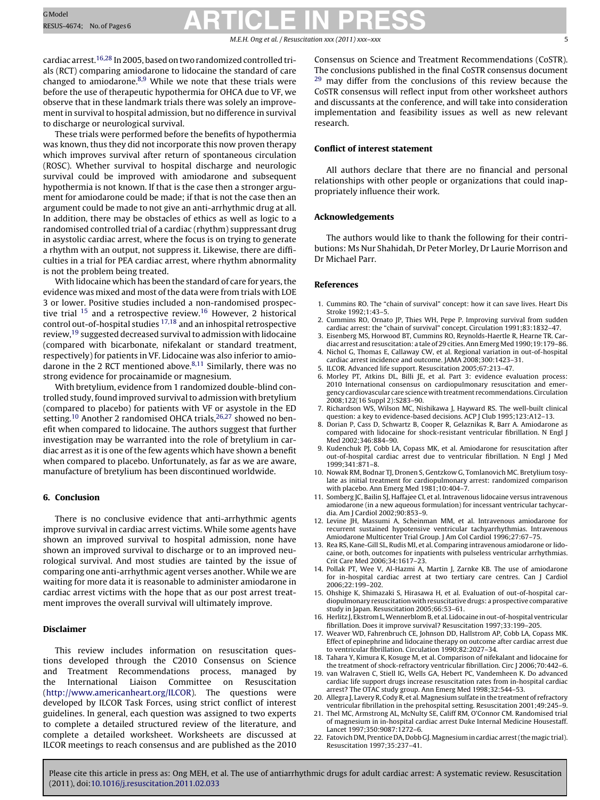### M.E.H. Ong et al. / Resuscitation *xxx (2011) xxx–xxx* 5

<span id="page-4-0"></span>cardiac arrest.16,28 In 2005, based on two randomized controlled trials (RCT) comparing amiodarone to lidocaine the standard of care changed to amiodarone.8,9 While we note that these trials were before the use of therapeutic hypothermia for OHCA due to VF, we observe that in these landmark trials there was solely an improvement in survival to hospital admission, but no difference in survival to discharge or neurological survival.

These trials were performed before the benefits of hypothermia was known, thus they did not incorporate this now proven therapy which improves survival after return of spontaneous circulation (ROSC). Whether survival to hospital discharge and neurologic survival could be improved with amiodarone and subsequent hypothermia is not known. If that is the case then a stronger argument for amiodarone could be made; if that is not the case then an argument could be made to not give an anti-arrhythmic drug at all. In addition, there may be obstacles of ethics as well as logic to a randomised controlled trial of a cardiac (rhythm) suppressant drug in asystolic cardiac arrest, where the focus is on trying to generate a rhythm with an output, not suppress it. Likewise, there are difficulties in a trial for PEA cardiac arrest, where rhythm abnormality is not the problem being treated.

With lidocaine which has been the standard of care for years, the evidence was mixed and most of the data were from trials with LOE 3 or lower. Positive studies included a non-randomised prospective trial <sup>15</sup> and a retrospective review.16 However, 2 historical control out-of-hospital studies 17,18 and an inhospital retrospective review,19 suggested decreased survival to admission with lidocaine (compared with bicarbonate, nifekalant or standard treatment, respectively) for patients in VF. Lidocaine was also inferior to amiodarone in the 2 RCT mentioned above.<sup>8,11</sup> Similarly, there was no strong evidence for procainamide or magnesium.

With bretylium, evidence from 1 randomized double-blind controlled study, found improved survival to admission with bretylium (compared to placebo) for patients with VF or asystole in the ED setting.<sup>10</sup> Another 2 randomised OHCA trials,<sup>26,27</sup> showed no benefit when compared to lidocaine. The authors suggest that further investigation may be warranted into the role of bretylium in cardiac arrest as it is one of the few agents which have shown a benefit when compared to placebo. Unfortunately, as far as we are aware, manufacture of bretylium has been discontinued worldwide.

### **6. Conclusion**

There is no conclusive evidence that anti-arrhythmic agents improve survival in cardiac arrest victims. While some agents have shown an improved survival to hospital admission, none have shown an improved survival to discharge or to an improved neurological survival. And most studies are tainted by the issue of comparing one anti-arrhythmic agent verses another. While we are waiting for more data it is reasonable to administer amiodarone in cardiac arrest victims with the hope that as our post arrest treatment improves the overall survival will ultimately improve.

### **Disclaimer**

This review includes information on resuscitation questions developed through the C2010 Consensus on Science and Treatment Recommendations process, managed by the International Liaison Committee on Resuscitation ([http://www.americanheart.org/ILCOR\)](http://www.americanheart.org/ILCOR). The questions were developed by ILCOR Task Forces, using strict conflict of interest guidelines. In general, each question was assigned to two experts to complete a detailed structured review of the literature, and complete a detailed worksheet. Worksheets are discussed at ILCOR meetings to reach consensus and are published as the 2010

Consensus on Science and Treatment Recommendations (CoSTR). The conclusions published in the final CoSTR consensus document <sup>[29](#page-5-0)</sup> may differ from the conclusions of this review because the CoSTR consensus will reflect input from other worksheet authors and discussants at the conference, and will take into consideration implementation and feasibility issues as well as new relevant research.

### **Conflict of interest statement**

All authors declare that there are no financial and personal relationships with other people or organizations that could inappropriately influence their work.

### **Acknowledgements**

The authors would like to thank the following for their contributions: Ms Nur Shahidah, Dr Peter Morley, Dr Laurie Morrison and Dr Michael Parr.

### **References**

- 1. Cummins RO. The "chain of survival" concept: how it can save lives. Heart Dis Stroke 1992;1:43–5.
- 2. Cummins RO, Ornato JP, Thies WH, Pepe P. Improving survival from sudden cardiac arrest: the "chain of survival" concept. Circulation 1991;83:1832–47.
- 3. Eisenberg MS, Horwood BT, Cummins RO, Reynolds-Haertle R, Hearne TR. Cardiac arrest and resuscitation: a tale of 29 cities. Ann Emerg Med 1990;19:179-86.
- 4. Nichol G, Thomas E, Callaway CW, et al. Regional variation in out-of-hospital cardiac arrest incidence and outcome. JAMA 2008;300:1423–31.
- 5. ILCOR. Advanced life support. Resuscitation 2005;67:213–47.
- 6. Morley PT, Atkins DL, Billi JE, et al. Part 3: evidence evaluation process: 2010 International consensus on cardiopulmonary resuscitation and emergency cardiovascular care science with treatment recommendations. Circulation 2008;122(16 Suppl 2):S283–90.
- 7. Richardson WS, Wilson MC, Nishikawa J, Hayward RS. The well-built clinical question: a key to evidence-based decisions. ACP J Club 1995;123:A12–13.
- 8. Dorian P, Cass D, Schwartz B, Cooper R, Gelaznikas R, Barr A. Amiodarone as compared with lidocaine for shock-resistant ventricular fibrillation. N Engl J Med 2002;346:884–90.
- 9. Kudenchuk PJ, Cobb LA, Copass MK, et al. Amiodarone for resuscitation after out-of-hospital cardiac arrest due to ventricular fibrillation. N Engl J Med 1999;341:871–8.
- 10. Nowak RM, Bodnar TJ, Dronen S, Gentzkow G, Tomlanovich MC. Bretylium tosylate as initial treatment for cardiopulmonary arrest: randomized comparison with placebo. Ann Emerg Med 1981;10:404–7.
- 11. Somberg JC, Bailin SJ, Haffajee CI, et al. Intravenous lidocaine versus intravenous amiodarone (in a new aqueous formulation) for incessant ventricular tachycardia. Am J Cardiol 2002;90:853–9.
- 12. Levine JH, Massumi A, Scheinman MM, et al. Intravenous amiodarone for recurrent sustained hypotensive ventricular tachyarrhythmias. Intravenous Amiodarone Multicenter Trial Group. J Am Col Cardiol 1996;27:67–75.
- 13. Rea RS, Kane-Gill SL, Rudis MI, et al. Comparing intravenous amiodarone or lidocaine, or both, outcomes for inpatients with pulseless ventricular arrhythmias. Crit Care Med 2006;34:1617–23.
- 14. Pollak PT, Wee V, Al-Hazmi A, Martin J, Zarnke KB. The use of amiodarone for in-hospital cardiac arrest at two tertiary care centres. Can J Cardiol 2006;22:199–202.
- 15. Ohshige K, Shimazaki S, Hirasawa H, et al. Evaluation of out-of-hospital cardiopulmonary resuscitation with resuscitative drugs: a prospective comparative study in Japan. Resuscitation 2005;66:53–61.
- 16. Herlitz J, Ekstrom L,Wennerblom B, et al. Lidocaine in out-of-hospital ventricular fibrillation. Does it improve survival? Resuscitation 1997;33:199–205.
- 17. Weaver WD, Fahrenbruch CE, Johnson DD, Hallstrom AP, Cobb LA, Copass MK. Effect of epinephrine and lidocaine therapy on outcome after cardiac arrest due to ventricular fibrillation. Circulation 1990;82:2027–34.
- 18. Tahara Y, Kimura K, Kosuge M, et al. Comparison of nifekalant and lidocaine for the treatment of shock-refractory ventricular fibrillation. Circ J 2006;70:442–6.
- 19. van Walraven C, Stiell IG, Wells GA, Hebert PC, Vandemheen K. Do advanced cardiac life support drugs increase resuscitation rates from in-hospital cardiac arrest? The OTAC study group. Ann Emerg Med 1998;32:544–53.
- 20. Allegra J, Lavery R, Cody R, et al. Magnesium sulfate in the treatment of refractory ventricular fibrillation in the prehospital setting. Resuscitation 2001;49:245–9.
- 21. Thel MC, Armstrong AL, McNulty SE, Califf RM, O'Connor CM. Randomised trial of magnesium in in-hospital cardiac arrest Duke Internal Medicine Housestaff. Lancet 1997;350:9087:1272–6.
- 22. Fatovich DM, Prentice DA, Dobb GJ.Magnesium in cardiac arrest (themagic trial). Resuscitation 1997;35:237–41.